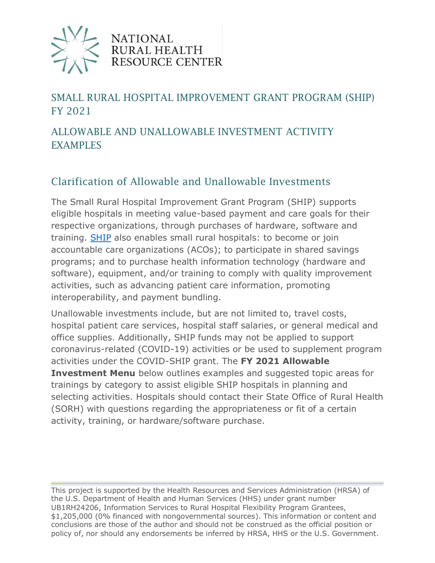

#### **NATIONAL** RURAL HEALTH **OURCE CENTER**

### SMALL RURAL HOSPITAL IMPROVEMENT GRANT PROGRAM (SHIP) FY 2021

#### ALLOWABLE AND UNALLOWABLE INVESTMENT ACTIVITY EXAMPLES

#### Clarification of Allowable and Unallowable Investments

The Small Rural Hospital Improvement Grant Program (SHIP) supports eligible hospitals in meeting value-based payment and care goals for their respective organizations, through purchases of hardware, software and training. [SHIP](https://www.ruralcenter.org/category/lexicon/ship) also enables small rural hospitals: to become or join accountable care organizations (ACOs); to participate in shared savings programs; and to purchase health information technology (hardware and software), equipment, and/or training to comply with quality improvement activities, such as advancing patient care information, promoting interoperability, and payment bundling.

Unallowable investments include, but are not limited to, travel costs, hospital patient care services, hospital staff salaries, or general medical and office supplies. Additionally, SHIP funds may not be applied to support coronavirus-related (COVID-19) activities or be used to supplement program activities under the COVID-SHIP grant. The **FY 2021 Allowable Investment Menu** below outlines examples and suggested topic areas for trainings by category to assist eligible SHIP hospitals in planning and selecting activities. Hospitals should contact their State Office of Rural Health (SORH) with questions regarding the appropriateness or fit of a certain activity, training, or hardware/software purchase.

This project is supported by the Health Resources and Services Administration (HRSA) of the U.S. Department of Health and Human Services (HHS) under grant number UB1RH24206, Information Services to Rural Hospital Flexibility Program Grantees, \$1,205,000 (0% financed with nongovernmental sources). This information or content and conclusions are those of the author and should not be construed as the official position or policy of, nor should any endorsements be inferred by HRSA, HHS or the U.S. Government.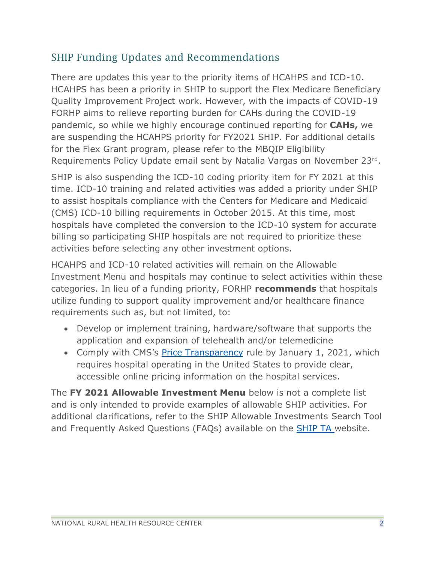#### SHIP Funding Updates and Recommendations

There are updates this year to the priority items of HCAHPS and ICD-10. HCAHPS has been a priority in SHIP to support the Flex Medicare Beneficiary Quality Improvement Project work. However, with the impacts of COVID-19 FORHP aims to relieve reporting burden for CAHs during the COVID-19 pandemic, so while we highly encourage continued reporting for **CAHs,** we are suspending the HCAHPS priority for FY2021 SHIP. For additional details for the Flex Grant program, please refer to the MBQIP Eligibility Requirements Policy Update email sent by Natalia Vargas on November 23rd.

SHIP is also suspending the ICD-10 coding priority item for FY 2021 at this time. ICD-10 training and related activities was added a priority under SHIP to assist hospitals compliance with the Centers for Medicare and Medicaid (CMS) ICD-10 billing requirements in October 2015. At this time, most hospitals have completed the conversion to the ICD-10 system for accurate billing so participating SHIP hospitals are not required to prioritize these activities before selecting any other investment options.

HCAHPS and ICD-10 related activities will remain on the Allowable Investment Menu and hospitals may continue to select activities within these categories. In lieu of a funding priority, FORHP **recommends** that hospitals utilize funding to support quality improvement and/or healthcare finance requirements such as, but not limited, to:

- Develop or implement training, hardware/software that supports the application and expansion of telehealth and/or telemedicine
- Comply with CMS's [Price Transparency](https://www.cms.gov/hospital-price-transparency) rule by January 1, 2021, which requires hospital operating in the United States to provide clear, accessible online pricing information on the hospital services.

The **FY 2021 Allowable Investment Menu** below is not a complete list and is only intended to provide examples of allowable SHIP activities. For additional clarifications, refer to the SHIP Allowable Investments Search Tool and Frequently Asked Questions (FAQs) available on the **[SHIP TA](https://www.ruralcenter.org/ship)** website.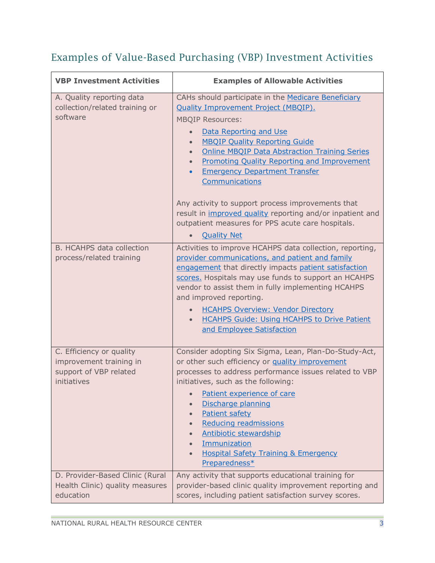# Examples of Value-Based Purchasing (VBP) Investment Activities

| <b>VBP Investment Activities</b>                                                             | <b>Examples of Allowable Activities</b>                                                                                                                                                                                                                                                                                                                                                                                                                                                                                                                                                                                                            |
|----------------------------------------------------------------------------------------------|----------------------------------------------------------------------------------------------------------------------------------------------------------------------------------------------------------------------------------------------------------------------------------------------------------------------------------------------------------------------------------------------------------------------------------------------------------------------------------------------------------------------------------------------------------------------------------------------------------------------------------------------------|
| A. Quality reporting data<br>collection/related training or<br>software                      | CAHs should participate in the Medicare Beneficiary<br><b>Quality Improvement Project (MBQIP).</b><br><b>MBQIP Resources:</b><br>Data Reporting and Use<br>$\bullet$<br><b>MBQIP Quality Reporting Guide</b><br>$\bullet$<br><b>Online MBQIP Data Abstraction Training Series</b><br>$\bullet$<br><b>Promoting Quality Reporting and Improvement</b><br>$\bullet$<br><b>Emergency Department Transfer</b><br>$\bullet$<br>Communications<br>Any activity to support process improvements that<br>result in improved quality reporting and/or inpatient and<br>outpatient measures for PPS acute care hospitals.<br><b>Quality Net</b><br>$\bullet$ |
| <b>B. HCAHPS data collection</b><br>process/related training                                 | Activities to improve HCAHPS data collection, reporting,<br>provider communications, and patient and family<br>engagement that directly impacts patient satisfaction<br>scores. Hospitals may use funds to support an HCAHPS<br>vendor to assist them in fully implementing HCAHPS<br>and improved reporting.<br><b>HCAHPS Overview: Vendor Directory</b><br><b>HCAHPS Guide: Using HCAHPS to Drive Patient</b><br>$\bullet$<br>and Employee Satisfaction                                                                                                                                                                                          |
| C. Efficiency or quality<br>improvement training in<br>support of VBP related<br>initiatives | Consider adopting Six Sigma, Lean, Plan-Do-Study-Act,<br>or other such efficiency or quality improvement<br>processes to address performance issues related to VBP<br>initiatives, such as the following:<br>Patient experience of care<br>Discharge planning<br>Patient safety<br>$\bullet$<br>Reducing readmissions<br>$\bullet$<br><b>Antibiotic stewardship</b><br>$\bullet$<br>Immunization<br>$\bullet$<br><b>Hospital Safety Training &amp; Emergency</b><br>$\bullet$<br>Preparedness*                                                                                                                                                     |
| D. Provider-Based Clinic (Rural<br>Health Clinic) quality measures<br>education              | Any activity that supports educational training for<br>provider-based clinic quality improvement reporting and<br>scores, including patient satisfaction survey scores.                                                                                                                                                                                                                                                                                                                                                                                                                                                                            |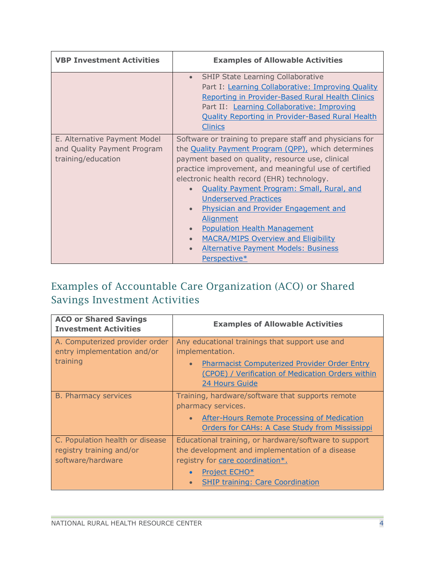| <b>VBP Investment Activities</b>                                                  | <b>Examples of Allowable Activities</b>                                                                                                                                                                                                                                                                                                                                                                                                                                                                                                                                                                                        |
|-----------------------------------------------------------------------------------|--------------------------------------------------------------------------------------------------------------------------------------------------------------------------------------------------------------------------------------------------------------------------------------------------------------------------------------------------------------------------------------------------------------------------------------------------------------------------------------------------------------------------------------------------------------------------------------------------------------------------------|
|                                                                                   | <b>SHIP State Learning Collaborative</b><br>$\bullet$<br>Part I: Learning Collaborative: Improving Quality<br>Reporting in Provider-Based Rural Health Clinics<br>Part II: Learning Collaborative: Improving<br><b>Quality Reporting in Provider-Based Rural Health</b><br><b>Clinics</b>                                                                                                                                                                                                                                                                                                                                      |
| E. Alternative Payment Model<br>and Quality Payment Program<br>training/education | Software or training to prepare staff and physicians for<br>the Quality Payment Program (QPP), which determines<br>payment based on quality, resource use, clinical<br>practice improvement, and meaningful use of certified<br>electronic health record (EHR) technology.<br><b>Quality Payment Program: Small, Rural, and</b><br><b>Underserved Practices</b><br><b>Physician and Provider Engagement and</b><br>$\bullet$<br><b>Alignment</b><br><b>Population Health Management</b><br>$\bullet$<br><b>MACRA/MIPS Overview and Eligibility</b><br>$\bullet$<br><b>Alternative Payment Models: Business</b><br>Perspective* |

## Examples of Accountable Care Organization (ACO) or Shared Savings Investment Activities

| <b>ACO or Shared Savings</b><br><b>Investment Activities</b>                     | <b>Examples of Allowable Activities</b>                                                                                                                                                                         |
|----------------------------------------------------------------------------------|-----------------------------------------------------------------------------------------------------------------------------------------------------------------------------------------------------------------|
| A. Computerized provider order<br>entry implementation and/or<br>training        | Any educational trainings that support use and<br>implementation.<br><b>Pharmacist Computerized Provider Order Entry</b><br>$\bullet$<br>(CPOE) / Verification of Medication Orders within                      |
| <b>B. Pharmacy services</b>                                                      | 24 Hours Guide<br>Training, hardware/software that supports remote<br>pharmacy services.<br>After-Hours Remote Processing of Medication<br>$\bullet$<br>Orders for CAHs: A Case Study from Mississippi          |
| C. Population health or disease<br>registry training and/or<br>software/hardware | Educational training, or hardware/software to support<br>the development and implementation of a disease<br>registry for care coordination*.<br><b>Project ECHO*</b><br><b>SHIP training: Care Coordination</b> |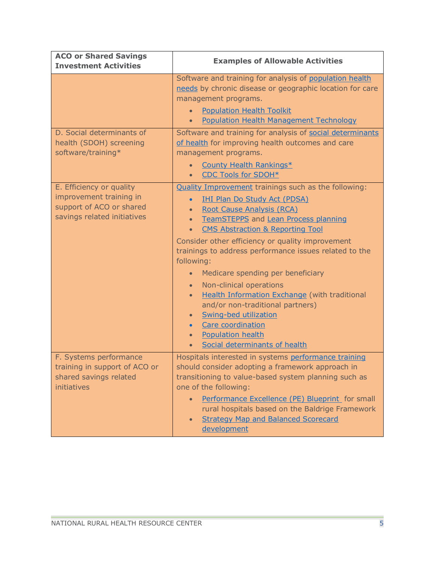| <b>ACO or Shared Savings</b><br><b>Investment Activities</b>                                                   | <b>Examples of Allowable Activities</b>                                                                                                                                                                                                                                                                                                                                                                                                                                                                                                                                                                                                                                                                                                         |
|----------------------------------------------------------------------------------------------------------------|-------------------------------------------------------------------------------------------------------------------------------------------------------------------------------------------------------------------------------------------------------------------------------------------------------------------------------------------------------------------------------------------------------------------------------------------------------------------------------------------------------------------------------------------------------------------------------------------------------------------------------------------------------------------------------------------------------------------------------------------------|
|                                                                                                                | Software and training for analysis of population health<br>needs by chronic disease or geographic location for care<br>management programs.<br><b>Population Health Toolkit</b><br><b>Population Health Management Technology</b><br>$\bullet$                                                                                                                                                                                                                                                                                                                                                                                                                                                                                                  |
| D. Social determinants of<br>health (SDOH) screening<br>software/training*                                     | Software and training for analysis of social determinants<br>of health for improving health outcomes and care<br>management programs.<br>County Health Rankings*<br>$\bullet$<br><b>CDC Tools for SDOH*</b>                                                                                                                                                                                                                                                                                                                                                                                                                                                                                                                                     |
| E. Efficiency or quality<br>improvement training in<br>support of ACO or shared<br>savings related initiatives | <b>Quality Improvement trainings such as the following:</b><br><b>IHI Plan Do Study Act (PDSA)</b><br>$\bullet$<br>Root Cause Analysis (RCA)<br>$\bullet$<br><b>TeamSTEPPS</b> and <b>Lean Process planning</b><br>$\bullet$<br><b>CMS Abstraction &amp; Reporting Tool</b><br>$\bullet$<br>Consider other efficiency or quality improvement<br>trainings to address performance issues related to the<br>following:<br>Medicare spending per beneficiary<br>Non-clinical operations<br>$\bullet$<br><b>Health Information Exchange (with traditional</b><br>$\bullet$<br>and/or non-traditional partners)<br>Swing-bed utilization<br>$\bullet$<br>Care coordination<br>$\bullet$<br><b>Population health</b><br>Social determinants of health |
| F. Systems performance<br>training in support of ACO or<br>shared savings related<br>initiatives               | Hospitals interested in systems performance training<br>should consider adopting a framework approach in<br>transitioning to value-based system planning such as<br>one of the following:<br>Performance Excellence (PE) Blueprint for small<br>$\bullet$<br>rural hospitals based on the Baldrige Framework<br><b>Strategy Map and Balanced Scorecard</b><br>$\bullet$<br>development                                                                                                                                                                                                                                                                                                                                                          |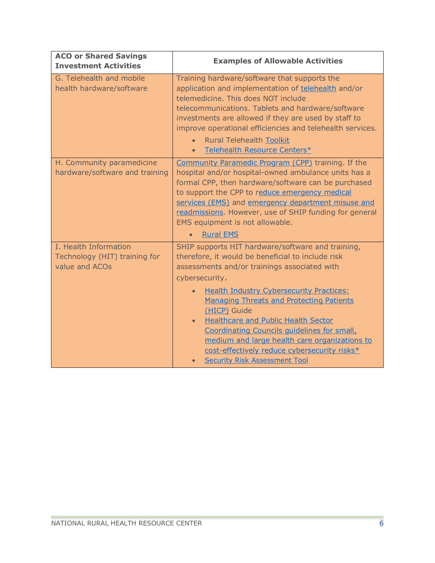| <b>ACO or Shared Savings</b><br><b>Investment Activities</b>             | <b>Examples of Allowable Activities</b>                                                                                                                                                                                                                                                                                                                                                                                                                                                                                                           |
|--------------------------------------------------------------------------|---------------------------------------------------------------------------------------------------------------------------------------------------------------------------------------------------------------------------------------------------------------------------------------------------------------------------------------------------------------------------------------------------------------------------------------------------------------------------------------------------------------------------------------------------|
| G. Telehealth and mobile<br>health hardware/software                     | Training hardware/software that supports the<br>application and implementation of telehealth and/or<br>telemedicine. This does NOT include<br>telecommunications. Tablets and hardware/software<br>investments are allowed if they are used by staff to<br>improve operational efficiencies and telehealth services.<br><b>Rural Telehealth Toolkit</b><br>$\bullet$<br>Telehealth Resource Centers*<br>$\bullet$                                                                                                                                 |
| H. Community paramedicine<br>hardware/software and training              | Community Paramedic Program (CPP) training. If the<br>hospital and/or hospital-owned ambulance units has a<br>formal CPP, then hardware/software can be purchased<br>to support the CPP to reduce emergency medical<br>services (EMS) and emergency department misuse and<br>readmissions. However, use of SHIP funding for general<br>EMS equipment is not allowable.<br><b>Rural EMS</b>                                                                                                                                                        |
| I. Health Information<br>Technology (HIT) training for<br>value and ACOs | SHIP supports HIT hardware/software and training,<br>therefore, it would be beneficial to include risk<br>assessments and/or trainings associated with<br>cybersecurity.<br><b>Health Industry Cybersecurity Practices:</b><br><b>Managing Threats and Protecting Patients</b><br>(HICP) Guide<br><b>Healthcare and Public Health Sector</b><br>$\bullet$<br>Coordinating Councils quidelines for small,<br>medium and large health care organizations to<br>cost-effectively reduce cybersecurity risks*<br><b>Security Risk Assessment Tool</b> |